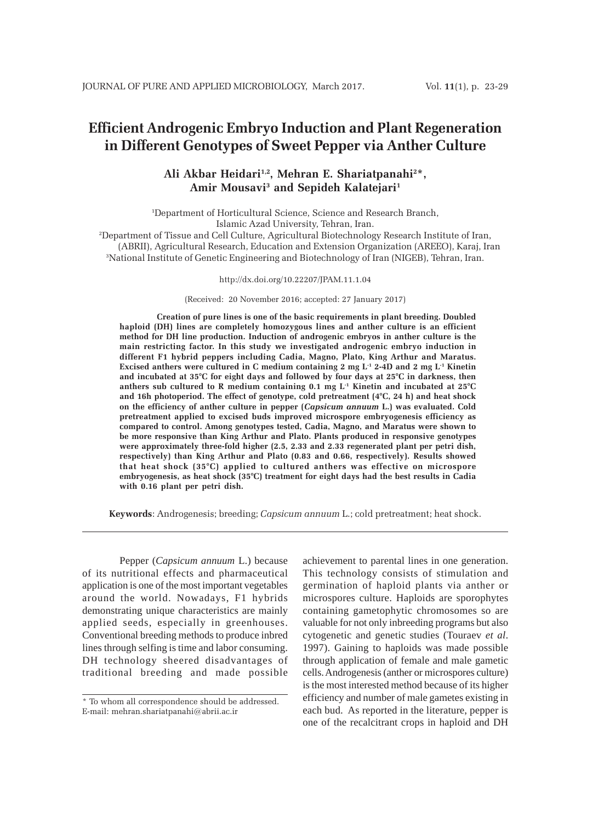# **Efficient Androgenic Embryo Induction and Plant Regeneration in Different Genotypes of Sweet Pepper via Anther Culture**

# **Ali Akbar Heidari1,2, Mehran E. Shariatpanahi2 \*, Amir Mousavi3 and Sepideh Kalatejari1**

1 Department of Horticultural Science, Science and Research Branch, Islamic Azad University, Tehran, Iran.

2 Department of Tissue and Cell Culture, Agricultural Biotechnology Research Institute of Iran, (ABRII), Agricultural Research, Education and Extension Organization (AREEO), Karaj, Iran 3 National Institute of Genetic Engineering and Biotechnology of Iran (NIGEB), Tehran, Iran.

http://dx.doi.org/10.22207/JPAM.11.1.04

(Received: 20 November 2016; accepted: 27 January 2017)

**Creation of pure lines is one of the basic requirements in plant breeding. Doubled haploid (DH) lines are completely homozygous lines and anther culture is an efficient method for DH line production. Induction of androgenic embryos in anther culture is the main restricting factor. In this study we investigated androgenic embryo induction in different F1 hybrid peppers including Cadia, Magno, Plato, King Arthur and Maratus. Excised anthers were cultured in C medium containing 2 mg L-1 2-4D and 2 mg L-1 Kinetin and incubated at 35°C for eight days and followed by four days at 25°C in darkness, then anthers sub cultured to R medium containing 0.1 mg L-1 Kinetin and incubated at 25°C and 16h photoperiod. The effect of genotype, cold pretreatment (4°C, 24 h) and heat shock on the efficiency of anther culture in pepper (***Capsicum annuum* **L.) was evaluated. Cold pretreatment applied to excised buds improved microspore embryogenesis efficiency as compared to control. Among genotypes tested, Cadia, Magno, and Maratus were shown to be more responsive than King Arthur and Plato. Plants produced in responsive genotypes were approximately three-fold higher (2.5, 2.33 and 2.33 regenerated plant per petri dish, respectively) than King Arthur and Plato (0.83 and 0.66, respectively). Results showed that heat shock (35°C) applied to cultured anthers was effective on microspore embryogenesis, as heat shock (35°C) treatment for eight days had the best results in Cadia with 0.16 plant per petri dish.**

**Keywords**: Androgenesis; breeding; *Capsicum annuum* L.; cold pretreatment; heat shock.

Pepper (*Capsicum annuum* L.) because of its nutritional effects and pharmaceutical application is one of the most important vegetables around the world. Nowadays, F1 hybrids demonstrating unique characteristics are mainly applied seeds, especially in greenhouses. Conventional breeding methods to produce inbred lines through selfing is time and labor consuming. DH technology sheered disadvantages of traditional breeding and made possible achievement to parental lines in one generation. This technology consists of stimulation and germination of haploid plants via anther or microspores culture. Haploids are sporophytes containing gametophytic chromosomes so are valuable for not only inbreeding programs but also cytogenetic and genetic studies (Touraev *et al*. 1997). Gaining to haploids was made possible through application of female and male gametic cells. Androgenesis (anther or microspores culture) is the most interested method because of its higher efficiency and number of male gametes existing in each bud. As reported in the literature, pepper is one of the recalcitrant crops in haploid and DH

<sup>\*</sup> To whom all correspondence should be addressed. E-mail: mehran.shariatpanahi@abrii.ac.ir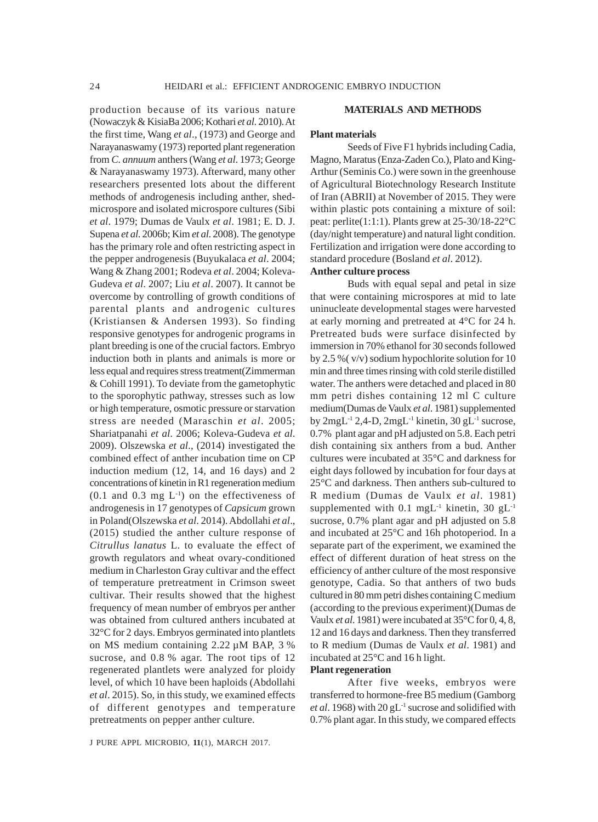production because of its various nature (Nowaczyk & KisiaBa 2006; Kothari *et al*. 2010). At the first time, Wang *et al*., (1973) and George and Narayanaswamy (1973) reported plant regeneration from *C. annuum* anthers (Wang *et al*. 1973; George & Narayanaswamy 1973). Afterward, many other researchers presented lots about the different methods of androgenesis including anther, shedmicrospore and isolated microspore cultures (Sibi *et al*. 1979; Dumas de Vaulx *et al*. 1981; E. D. J. Supena *et al*. 2006b; Kim *et al*. 2008). The genotype has the primary role and often restricting aspect in the pepper androgenesis (Buyukalaca *et al*. 2004; Wang & Zhang 2001; Rodeva *et al*. 2004; Koleva-Gudeva *et al*. 2007; Liu *et al*. 2007). It cannot be overcome by controlling of growth conditions of parental plants and androgenic cultures (Kristiansen & Andersen 1993). So finding responsive genotypes for androgenic programs in plant breeding is one of the crucial factors. Embryo induction both in plants and animals is more or less equal and requires stress treatment(Zimmerman & Cohill 1991). To deviate from the gametophytic to the sporophytic pathway, stresses such as low or high temperature, osmotic pressure or starvation stress are needed (Maraschin *et al*. 2005; Shariatpanahi *et al*. 2006; Koleva-Gudeva *et al*. 2009). Olszewska *et al*., (2014) investigated the combined effect of anther incubation time on CP induction medium (12, 14, and 16 days) and 2 concentrations of kinetin in R1 regeneration medium  $(0.1$  and  $0.3$  mg  $L<sup>-1</sup>$  on the effectiveness of androgenesis in 17 genotypes of *Capsicum* grown in Poland(Olszewska *et al*. 2014). Abdollahi *et al*., (2015) studied the anther culture response of *Citrullus lanatus* L. to evaluate the effect of growth regulators and wheat ovary-conditioned medium in Charleston Gray cultivar and the effect of temperature pretreatment in Crimson sweet cultivar. Their results showed that the highest frequency of mean number of embryos per anther was obtained from cultured anthers incubated at 32°C for 2 days. Embryos germinated into plantlets on MS medium containing 2.22 µM BAP, 3 % sucrose, and 0.8 % agar. The root tips of 12 regenerated plantlets were analyzed for ploidy level, of which 10 have been haploids (Abdollahi *et al*. 2015). So, in this study, we examined effects of different genotypes and temperature pretreatments on pepper anther culture.

#### **MATERIALS AND METHODS**

#### **Plant materials**

Seeds of Five F1 hybrids including Cadia, Magno, Maratus (Enza-Zaden Co.), Plato and King-Arthur (Seminis Co.) were sown in the greenhouse of Agricultural Biotechnology Research Institute of Iran (ABRII) at November of 2015. They were within plastic pots containing a mixture of soil: peat: perlite(1:1:1). Plants grew at 25-30/18-22°C (day/night temperature) and natural light condition. Fertilization and irrigation were done according to standard procedure (Bosland *et al*. 2012).

#### **Anther culture process**

Buds with equal sepal and petal in size that were containing microspores at mid to late uninucleate developmental stages were harvested at early morning and pretreated at 4°C for 24 h. Pretreated buds were surface disinfected by immersion in 70% ethanol for 30 seconds followed by 2.5 %( v/v) sodium hypochlorite solution for 10 min and three times rinsing with cold sterile distilled water. The anthers were detached and placed in 80 mm petri dishes containing 12 ml C culture medium(Dumas de Vaulx *et al*. 1981) supplemented by  $2mgL^{-1}$   $2,4-D$ ,  $2mgL^{-1}$  kinetin,  $30gL^{-1}$  sucrose, 0.7% plant agar and pH adjusted on 5.8. Each petri dish containing six anthers from a bud. Anther cultures were incubated at 35°C and darkness for eight days followed by incubation for four days at 25°C and darkness. Then anthers sub-cultured to R medium (Dumas de Vaulx *et al*. 1981) supplemented with 0.1 mgL<sup>-1</sup> kinetin, 30 gL<sup>-1</sup> sucrose, 0.7% plant agar and pH adjusted on 5.8 and incubated at 25°C and 16h photoperiod. In a separate part of the experiment, we examined the effect of different duration of heat stress on the efficiency of anther culture of the most responsive genotype, Cadia. So that anthers of two buds cultured in 80 mm petri dishes containing C medium (according to the previous experiment)(Dumas de Vaulx *et al*. 1981) were incubated at 35°C for 0, 4, 8, 12 and 16 days and darkness. Then they transferred to R medium (Dumas de Vaulx *et al*. 1981) and incubated at 25°C and 16 h light.

### **Plant regeneration**

After five weeks, embryos were transferred to hormone-free B5 medium (Gamborg et al. 1968) with 20 gL<sup>-1</sup> sucrose and solidified with 0.7% plant agar. In this study, we compared effects

J PURE APPL MICROBIO*,* **11**(1), MARCH 2017.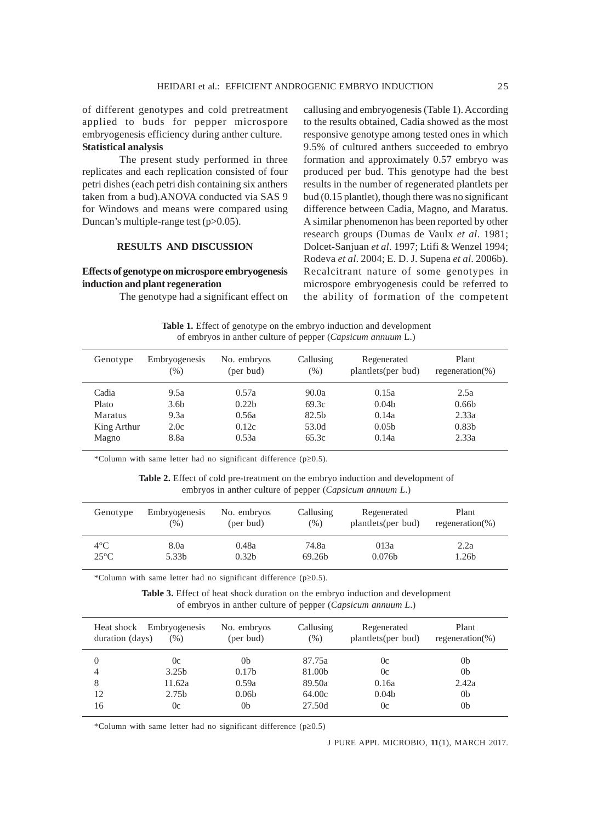of different genotypes and cold pretreatment applied to buds for pepper microspore embryogenesis efficiency during anther culture. **Statistical analysis**

The present study performed in three replicates and each replication consisted of four petri dishes (each petri dish containing six anthers taken from a bud).ANOVA conducted via SAS 9 for Windows and means were compared using Duncan's multiple-range test (p>0.05).

#### **RESULTS AND DISCUSSION**

#### **Effects of genotype on microspore embryogenesis induction and plant regeneration**

The genotype had a significant effect on

callusing and embryogenesis (Table 1). According to the results obtained, Cadia showed as the most responsive genotype among tested ones in which 9.5% of cultured anthers succeeded to embryo formation and approximately 0.57 embryo was produced per bud. This genotype had the best results in the number of regenerated plantlets per bud (0.15 plantlet), though there was no significant difference between Cadia, Magno, and Maratus. A similar phenomenon has been reported by other research groups (Dumas de Vaulx *et al*. 1981; Dolcet-Sanjuan *et al*. 1997; Ltifi & Wenzel 1994; Rodeva *et al*. 2004; E. D. J. Supena *et al*. 2006b). Recalcitrant nature of some genotypes in microspore embryogenesis could be referred to the ability of formation of the competent

**Table 1.** Effect of genotype on the embryo induction and development of embryos in anther culture of pepper (*Capsicum annuum* L.)

| Genotype    | Embryogenesis<br>$(\%)$ | No. embryos<br>(per bud) | Callusing<br>$(\%)$ | Regenerated<br>plantlets(per bud) | Plant<br>regeneration(%) |
|-------------|-------------------------|--------------------------|---------------------|-----------------------------------|--------------------------|
| Cadia       | 9.5a                    | 0.57a                    | 90.0a               | 0.15a                             | 2.5a                     |
| Plato       | 3.6 <sub>b</sub>        | 0.22 <sub>b</sub>        | 69.3c               | 0.04 <sub>b</sub>                 | 0.66 <sub>b</sub>        |
| Maratus     | 9.3a                    | 0.56a                    | 82.5 <sub>b</sub>   | 0.14a                             | 2.33a                    |
| King Arthur | 2.0c                    | 0.12c                    | 53.0d               | 0.05 <sub>b</sub>                 | 0.83 <sub>b</sub>        |
| Magno       | 8.8a                    | 0.53a                    | 65.3c               | 0.14a                             | 2.33a                    |

\*Column with same letter had no significant difference (p≥0.5).

**Table 2.** Effect of cold pre-treatment on the embryo induction and development of embryos in anther culture of pepper (*Capsicum annuum L*.)

| Genotype       | Embryogenesis<br>$(\%)$ | No. embryos<br>(per bud) | Callusing<br>$(\% )$ | Regenerated<br>plantlets(per bud) | Plant<br>regeneration(%) |  |
|----------------|-------------------------|--------------------------|----------------------|-----------------------------------|--------------------------|--|
| $4^{\circ}$ C  | 8.0a                    | 0.48a                    | 74.8a                | 013a                              | 2.2a                     |  |
| $25^{\circ}$ C | 5.33b                   | 0.32 <sub>b</sub>        | 69.26b               | 0.076 <sub>b</sub>                | l.26b                    |  |

\*Column with same letter had no significant difference (p≥0.5).

**Table 3.** Effect of heat shock duration on the embryo induction and development of embryos in anther culture of pepper (*Capsicum annuum L*.)

| duration (days) | Heat shock Embryogenesis<br>$(\% )$ | No. embryos<br>(per bud) | Callusing<br>(% ) | Regenerated<br>plantlets(per bud) | Plant<br>regeneration(%) |
|-----------------|-------------------------------------|--------------------------|-------------------|-----------------------------------|--------------------------|
|                 | $_{0c}$                             | 0 <sub>b</sub>           | 87.75a            | 0c                                | 0b                       |
|                 | 3.25 <sub>b</sub>                   | 0.17 <sub>b</sub>        | 81.00b            | 0c                                | 0b                       |
| 8               | 11.62a                              | 0.59a                    | 89.50a            | 0.16a                             | 2.42a                    |
| 12              | 2.75 <sub>b</sub>                   | 0.06 <sub>b</sub>        | 64.00c            | 0.04 <sub>b</sub>                 | 0 <sub>b</sub>           |
| 16              | 0c                                  | 0 <sub>b</sub>           | 27.50d            | 0c                                | 0b                       |

\*Column with same letter had no significant difference (p≥0.5)

J PURE APPL MICROBIO*,* **11**(1), MARCH 2017.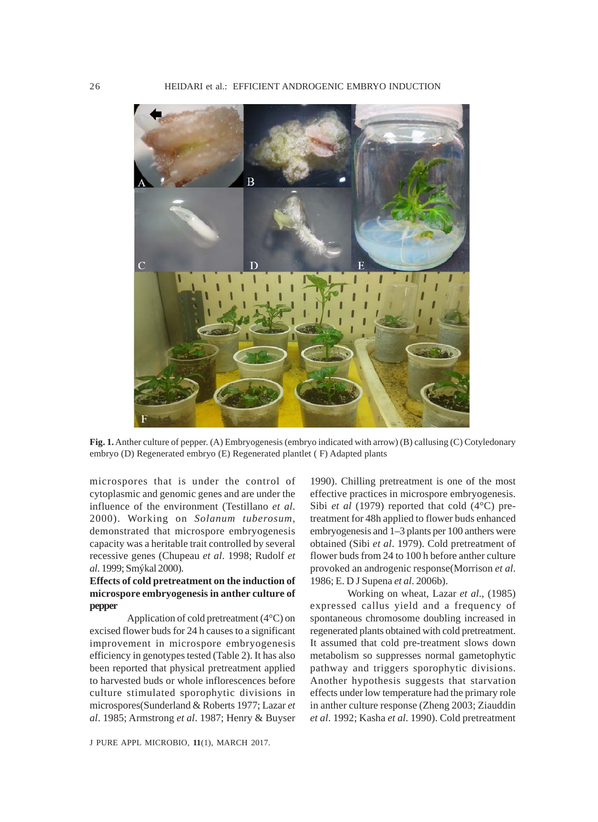

**Fig. 1.** Anther culture of pepper. (A) Embryogenesis (embryo indicated with arrow) (B) callusing (C) Cotyledonary embryo (D) Regenerated embryo (E) Regenerated plantlet ( F) Adapted plants

microspores that is under the control of cytoplasmic and genomic genes and are under the influence of the environment (Testillano *et al*. 2000). Working on *Solanum tuberosum*, demonstrated that microspore embryogenesis capacity was a heritable trait controlled by several recessive genes (Chupeau *et al*. 1998; Rudolf *et al*. 1999; Smýkal 2000).

## **Effects of cold pretreatment on the induction of microspore embryogenesis in anther culture of pepper**

Application of cold pretreatment (4°C) on excised flower buds for 24 h causes to a significant improvement in microspore embryogenesis efficiency in genotypes tested (Table 2). It has also been reported that physical pretreatment applied to harvested buds or whole inflorescences before culture stimulated sporophytic divisions in microspores(Sunderland & Roberts 1977; Lazar *et al*. 1985; Armstrong *et al*. 1987; Henry & Buyser

J PURE APPL MICROBIO*,* **11**(1), MARCH 2017.

1990). Chilling pretreatment is one of the most effective practices in microspore embryogenesis. Sibi *et al* (1979) reported that cold (4°C) pretreatment for 48h applied to flower buds enhanced embryogenesis and 1–3 plants per 100 anthers were obtained (Sibi *et al*. 1979). Cold pretreatment of flower buds from 24 to 100 h before anther culture provoked an androgenic response(Morrison *et al*. 1986; E. D J Supena *et al*. 2006b).

Working on wheat, Lazar *et al*., (1985) expressed callus yield and a frequency of spontaneous chromosome doubling increased in regenerated plants obtained with cold pretreatment. It assumed that cold pre-treatment slows down metabolism so suppresses normal gametophytic pathway and triggers sporophytic divisions. Another hypothesis suggests that starvation effects under low temperature had the primary role in anther culture response (Zheng 2003; Ziauddin *et al*. 1992; Kasha *et al*. 1990). Cold pretreatment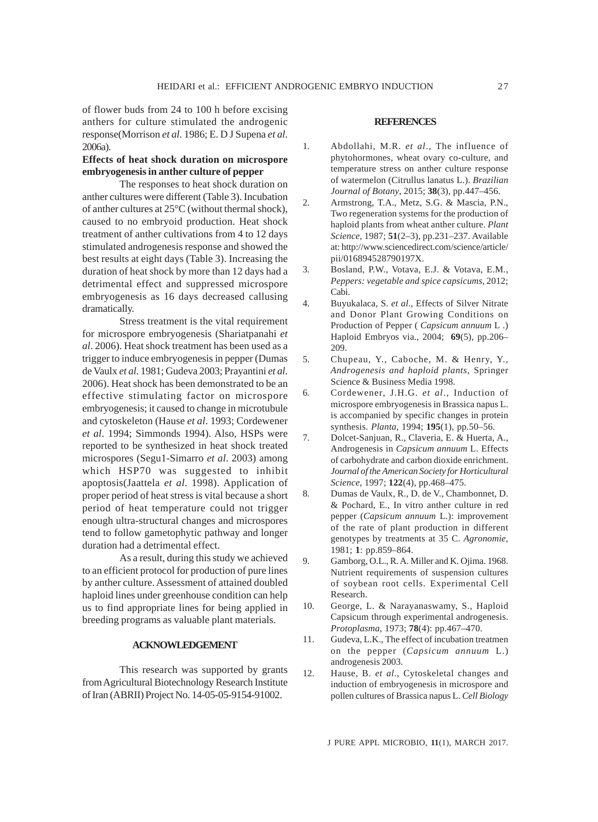of flower buds from 24 to 100 h before excising anthers for culture stimulated the androgenic response(Morrison *et al*. 1986; E. D J Supena *et al*. 2006a).

## **Effects of heat shock duration on microspore embryogenesis in anther culture of pepper**

The responses to heat shock duration on anther cultures were different (Table 3). Incubation of anther cultures at 25°C (without thermal shock), caused to no embryoid production. Heat shock treatment of anther cultivations from 4 to 12 days stimulated androgenesis response and showed the best results at eight days (Table 3). Increasing the duration of heat shock by more than 12 days had a detrimental effect and suppressed microspore embryogenesis as 16 days decreased callusing dramatically.

Stress treatment is the vital requirement for microspore embryogenesis (Shariatpanahi *et al*. 2006). Heat shock treatment has been used as a trigger to induce embryogenesis in pepper (Dumas de Vaulx *et al*. 1981; Gudeva 2003; Prayantini *et al*. 2006). Heat shock has been demonstrated to be an effective stimulating factor on microspore embryogenesis; it caused to change in microtubule and cytoskeleton (Hause *et al*. 1993; Cordewener *et al*. 1994; Simmonds 1994). Also, HSPs were reported to be synthesized in heat shock treated microspores (Segu1-Simarro *et al*. 2003) among which HSP70 was suggested to inhibit apoptosis(Jaattela *et al*. 1998). Application of proper period of heat stress is vital because a short period of heat temperature could not trigger enough ultra-structural changes and microspores tend to follow gametophytic pathway and longer duration had a detrimental effect.

As a result, during this study we achieved to an efficient protocol for production of pure lines by anther culture. Assessment of attained doubled haploid lines under greenhouse condition can help us to find appropriate lines for being applied in breeding programs as valuable plant materials.

#### **ACKNOWLEDGEMENT**

This research was supported by grants from Agricultural Biotechnology Research Institute of Iran (ABRII) Project No. 14-05-05-9154-91002.

### **REFERENCES**

- 1. Abdollahi, M.R. *et al*., The influence of phytohormones, wheat ovary co-culture, and temperature stress on anther culture response of watermelon (Citrullus lanatus L.). *Brazilian Journal of Botany*, 2015; **38**(3), pp.447–456.
- 2. Armstrong, T.A., Metz, S.G. & Mascia, P.N., Two regeneration systems for the production of haploid plants from wheat anther culture. *Plant Science*, 1987; **51**(2–3), pp.231–237. Available at: http://www.sciencedirect.com/science/article/ pii/016894528790197X.
- 3. Bosland, P.W., Votava, E.J. & Votava, E.M., *Peppers: vegetable and spice capsicums*, 2012; Cabi.
- 4. Buyukalaca, S. *et al*., Effects of Silver Nitrate and Donor Plant Growing Conditions on Production of Pepper ( *Capsicum annuum* L .) Haploid Embryos via., 2004; **69**(5), pp.206– 209.
- 5. Chupeau, Y., Caboche, M. & Henry, Y., *Androgenesis and haploid plants*, Springer Science & Business Media 1998.
- 6. Cordewener, J.H.G. *et al*., Induction of microspore embryogenesis in Brassica napus L. is accompanied by specific changes in protein synthesis. *Planta*, 1994; **195**(1), pp.50–56.
- 7. Dolcet-Sanjuan, R., Claveria, E. & Huerta, A., Androgenesis in *Capsicum annuum* L. Effects of carbohydrate and carbon dioxide enrichment. *Journal of the American Society for Horticultural Science*, 1997; **122**(4), pp.468–475.
- 8. Dumas de Vaulx, R., D. de V., Chambonnet, D. & Pochard, E., In vitro anther culture in red pepper (*Capsicum annuum* L.): improvement of the rate of plant production in different genotypes by treatments at 35 C. *Agronomie*, 1981; **1**: pp.859–864.
- 9. Gamborg, O.L., R. A. Miller and K. Ojima. 1968. Nutrient requirements of suspension cultures of soybean root cells. Experimental Cell Research.
- 10. George, L. & Narayanaswamy, S., Haploid Capsicum through experimental androgenesis. *Protoplasma*, 1973; **78**(4): pp.467–470.
- 11. Gudeva, L.K., The effect of incubation treatmen on the pepper (*Capsicum annuum* L.) androgenesis 2003.
- 12. Hause, B. *et al*., Cytoskeletal changes and induction of embryogenesis in microspore and pollen cultures of Brassica napus L. *Cell Biology*

J PURE APPL MICROBIO*,* **11**(1), MARCH 2017.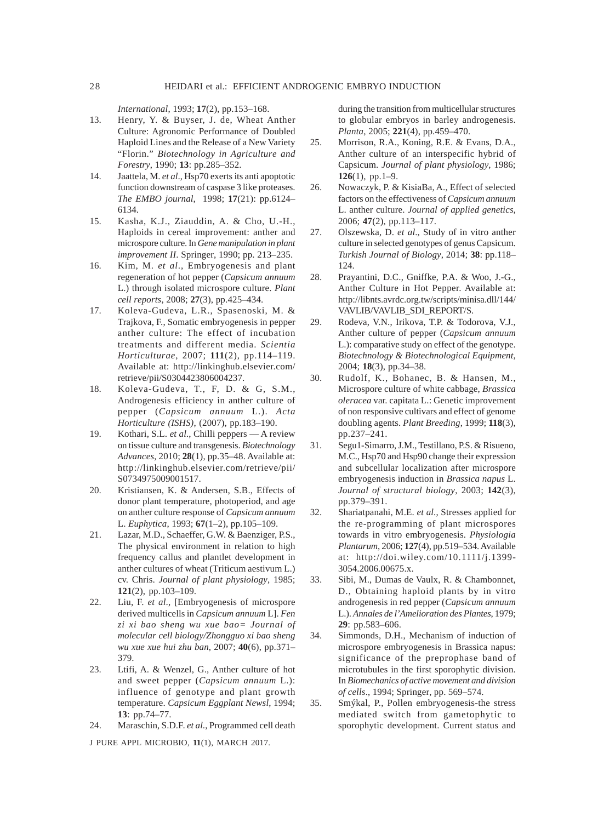*International*, 1993; **17**(2), pp.153–168.

- 13. Henry, Y. & Buyser, J. de, Wheat Anther Culture: Agronomic Performance of Doubled Haploid Lines and the Release of a New Variety "Florin." *Biotechnology in Agriculture and Forestry*, 1990; **13**: pp.285–352.
- 14. Jaattela, M. *et al*., Hsp70 exerts its anti apoptotic function downstream of caspase 3 like proteases. *The EMBO journal*, 1998; **17**(21): pp.6124– 6134.
- 15. Kasha, K.J., Ziauddin, A. & Cho, U.-H., Haploids in cereal improvement: anther and microspore culture. In *Gene manipulation in plant improvement II*. Springer, 1990; pp. 213–235.
- 16. Kim, M. *et al*., Embryogenesis and plant regeneration of hot pepper (*Capsicum annuum* L.) through isolated microspore culture. *Plant cell reports*, 2008; **27**(3), pp.425–434.
- 17. Koleva-Gudeva, L.R., Spasenoski, M. & Trajkova, F., Somatic embryogenesis in pepper anther culture: The effect of incubation treatments and different media. *Scientia Horticulturae*, 2007; **111**(2), pp.114–119. Available at: http://linkinghub.elsevier.com/ retrieve/pii/S0304423806004237.
- 18. Koleva-Gudeva, T., F, D. & G, S.M., Androgenesis efficiency in anther culture of pepper (*Capsicum annuum* L.). *Acta Horticulture (ISHS)*, (2007), pp.183–190.
- 19. Kothari, S.L. *et al*., Chilli peppers A review on tissue culture and transgenesis. *Biotechnology Advances*, 2010; **28**(1), pp.35–48. Available at: http://linkinghub.elsevier.com/retrieve/pii/ S0734975009001517.
- 20. Kristiansen, K. & Andersen, S.B., Effects of donor plant temperature, photoperiod, and age on anther culture response of *Capsicum annuum* L. *Euphytica*, 1993; **67**(1–2), pp.105–109.
- 21. Lazar, M.D., Schaeffer, G.W. & Baenziger, P.S., The physical environment in relation to high frequency callus and plantlet development in anther cultures of wheat (Triticum aestivum L.) cv. Chris. *Journal of plant physiology*, 1985; **121**(2), pp.103–109.
- 22. Liu, F. *et al*., [Embryogenesis of microspore derived multicells in *Capsicum annuum* L]. *Fen zi xi bao sheng wu xue bao= Journal of molecular cell biology/Zhongguo xi bao sheng wu xue xue hui zhu ban*, 2007; **40**(6), pp.371– 379.
- 23. Ltifi, A. & Wenzel, G., Anther culture of hot and sweet pepper (*Capsicum annuum* L.): influence of genotype and plant growth temperature. *Capsicum Eggplant Newsl*, 1994; **13**: pp.74–77.
- 24. Maraschin, S.D.F. *et al*., Programmed cell death

J PURE APPL MICROBIO*,* **11**(1), MARCH 2017.

during the transition from multicellular structures to globular embryos in barley androgenesis. *Planta*, 2005; **221**(4), pp.459–470.

- 25. Morrison, R.A., Koning, R.E. & Evans, D.A., Anther culture of an interspecific hybrid of Capsicum. *Journal of plant physiology*, 1986; **126**(1), pp.1–9.
- 26. Nowaczyk, P. & KisiaBa, A., Effect of selected factors on the effectiveness of *Capsicum annuum* L. anther culture. *Journal of applied genetics*, 2006; **47**(2), pp.113–117.
- 27. Olszewska, D. *et al*., Study of in vitro anther culture in selected genotypes of genus Capsicum. *Turkish Journal of Biology*, 2014; **38**: pp.118– 124.
- 28. Prayantini, D.C., Gniffke, P.A. & Woo, J.-G., Anther Culture in Hot Pepper. Available at: http://libnts.avrdc.org.tw/scripts/minisa.dll/144/ VAVLIB/VAVLIB\_SDI\_REPORT/S.
- 29. Rodeva, V.N., Irikova, T.P. & Todorova, V.J., Anther culture of pepper (*Capsicum annuum* L.): comparative study on effect of the genotype. *Biotechnology & Biotechnological Equipment*, 2004; **18**(3), pp.34–38.
- 30. Rudolf, K., Bohanec, B. & Hansen, M., Microspore culture of white cabbage, *Brassica oleracea* var. capitata L.: Genetic improvement of non responsive cultivars and effect of genome doubling agents. *Plant Breeding*, 1999; **118**(3), pp.237–241.
- 31. Segu1-Simarro, J.M., Testillano, P.S. & Risueno, M.C., Hsp70 and Hsp90 change their expression and subcellular localization after microspore embryogenesis induction in *Brassica napus* L. *Journal of structural biology*, 2003; **142**(3), pp.379–391.
- 32. Shariatpanahi, M.E. *et al*., Stresses applied for the re-programming of plant microspores towards in vitro embryogenesis. *Physiologia Plantarum*, 2006; **127**(4), pp.519–534. Available at: http://doi.wiley.com/10.1111/j.1399- 3054.2006.00675.x.
- 33. Sibi, M., Dumas de Vaulx, R. & Chambonnet, D., Obtaining haploid plants by in vitro androgenesis in red pepper (*Capsicum annuum* L.). *Annales de l'Amelioration des Plantes*, 1979; **29**: pp.583–606.
- 34. Simmonds, D.H., Mechanism of induction of microspore embryogenesis in Brassica napus: significance of the preprophase band of microtubules in the first sporophytic division. In *Biomechanics of active movement and division of cells*., 1994; Springer, pp. 569–574.
- 35. Smýkal, P., Pollen embryogenesis-the stress mediated switch from gametophytic to sporophytic development. Current status and